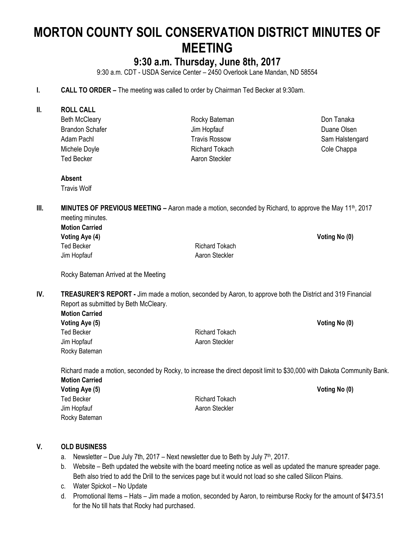# **MORTON COUNTY SOIL CONSERVATION DISTRICT MINUTES OF MEETING**

# **9:30 a.m. Thursday, June 8th, 2017**

9:30 a.m. CDT - USDA Service Center – 2450 Overlook Lane Mandan, ND 58554

- **I. CALL TO ORDER –** The meeting was called to order by Chairman Ted Becker at 9:30am.
- **II. ROLL CALL** Beth McCleary Brandon Schafer Adam Pachl Michele Doyle Ted Becker

Rocky Bateman Jim Hopfauf Travis Rossow Richard Tokach Aaron Steckler

Don Tanaka Duane Olsen Sam Halstengard Cole Chappa

**Absent**

Travis Wolf

**III. MINUTES OF PREVIOUS MEETING** – Aaron made a motion, seconded by Richard, to approve the May 11<sup>th</sup>, 2017 meeting minutes.

| <b>Motion Carried</b> |  |  |  |
|-----------------------|--|--|--|
| Voting Aye (4)        |  |  |  |
| Ted Becker            |  |  |  |
| Jim Hopfauf           |  |  |  |

Richard Tokach Aaron Steckler

**Voting Aye (4) Voting No (0)**

Rocky Bateman Arrived at the Meeting

**IV. TREASURER'S REPORT -** Jim made a motion, seconded by Aaron, to approve both the District and 319 Financial Report as submitted by Beth McCleary.

**Motion Carried Voting Aye (5) Voting No (0)** Ted Becker **Richard Tokach** Jim Hopfauf **Aaron Steckler** Aaron Steckler Rocky Bateman

Richard made a motion, seconded by Rocky, to increase the direct deposit limit to \$30,000 with Dakota Community Bank. **Motion Carried Voting Aye (5) Voting No (0)** Ted Becker **Richard Tokach** 

#### **V. OLD BUSINESS**

Rocky Bateman

a. Newsletter – Due July 7th, 2017 – Next newsletter due to Beth by July  $7<sup>th</sup>$ , 2017.

Jim Hopfauf **Aaron Steckler** Aaron Steckler

- b. Website Beth updated the website with the board meeting notice as well as updated the manure spreader page. Beth also tried to add the Drill to the services page but it would not load so she called Silicon Plains.
- c. Water Spickot No Update
- d. Promotional Items Hats Jim made a motion, seconded by Aaron, to reimburse Rocky for the amount of \$473.51 for the No till hats that Rocky had purchased.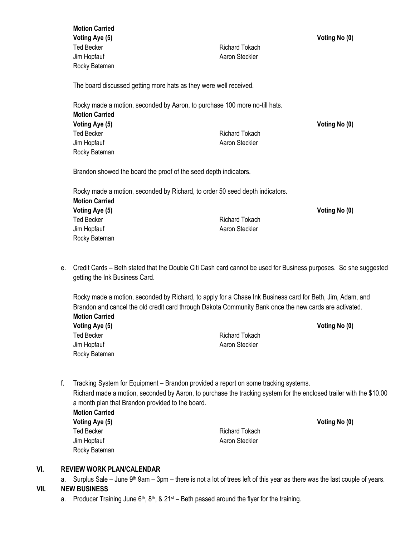|    | <b>Motion Carried</b><br>Voting Aye (5)                                                                          |                       | Voting No (0) |  |
|----|------------------------------------------------------------------------------------------------------------------|-----------------------|---------------|--|
|    | <b>Ted Becker</b>                                                                                                | <b>Richard Tokach</b> |               |  |
|    | Jim Hopfauf                                                                                                      | Aaron Steckler        |               |  |
|    | Rocky Bateman                                                                                                    |                       |               |  |
|    | The board discussed getting more hats as they were well received.                                                |                       |               |  |
|    | Rocky made a motion, seconded by Aaron, to purchase 100 more no-till hats.                                       |                       |               |  |
|    | <b>Motion Carried</b>                                                                                            |                       |               |  |
|    | <b>Voting Aye (5)</b>                                                                                            |                       | Voting No (0) |  |
|    | <b>Ted Becker</b>                                                                                                | <b>Richard Tokach</b> |               |  |
|    | Jim Hopfauf                                                                                                      | Aaron Steckler        |               |  |
|    | Rocky Bateman                                                                                                    |                       |               |  |
|    | Brandon showed the board the proof of the seed depth indicators.                                                 |                       |               |  |
|    | Rocky made a motion, seconded by Richard, to order 50 seed depth indicators.                                     |                       |               |  |
|    | <b>Motion Carried</b>                                                                                            |                       |               |  |
|    | Voting Aye (5)                                                                                                   |                       | Voting No (0) |  |
|    | <b>Ted Becker</b>                                                                                                | <b>Richard Tokach</b> |               |  |
|    | Jim Hopfauf                                                                                                      | Aaron Steckler        |               |  |
|    | Rocky Bateman                                                                                                    |                       |               |  |
| e. | Credit Cards – Beth stated that the Double Citi Cash card cannot be used for Business purposes. So she suggested |                       |               |  |
|    | notting the Ink Rusiness Card                                                                                    |                       |               |  |

getting the Ink Business Card.

Rocky made a motion, seconded by Richard, to apply for a Chase Ink Business card for Beth, Jim, Adam, and Brandon and cancel the old credit card through Dakota Community Bank once the new cards are activated. **Motion Carried Voting Aye (5) Voting No (0)** Ted Becker **Richard Tokach** Richard Tokach Jim Hopfauf **Aaron Steckler** Aaron Steckler Rocky Bateman

- f. Tracking System for Equipment Brandon provided a report on some tracking systems. Richard made a motion, seconded by Aaron, to purchase the tracking system for the enclosed trailer with the \$10.00 a month plan that Brandon provided to the board. **Motion Carried Voting Aye (5) Voting No (0)**
	- Rocky Bateman

Ted Becker **Richard Tokach** Jim Hopfauf **Aaron Steckler** Aaron Steckler

#### **VI. REVIEW WORK PLAN/CALENDAR**

a. Surplus Sale – June 9<sup>th</sup> 9am – 3pm – there is not a lot of trees left of this year as there was the last couple of years.

### **VII. NEW BUSINESS**

a. Producer Training June  $6<sup>th</sup>$ ,  $8<sup>th</sup>$ , & 21<sup>st</sup> – Beth passed around the flyer for the training.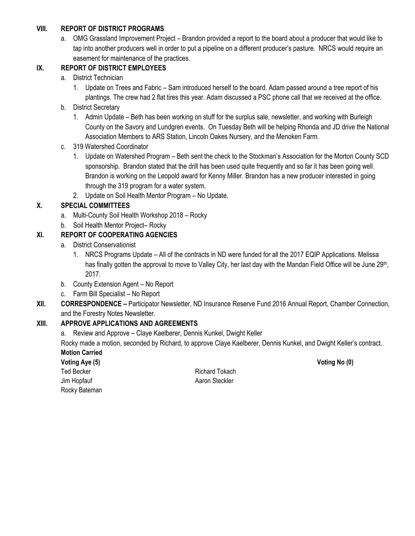#### **VIII. REPORT OF DISTRICT PROGRAMS**

a. OMG Grassland Improvement Project – Brandon provided a report to the board about a producer that would like to tap into another producers well in order to put a pipeline on a different producer's pasture. NRCS would require an easement for maintenance of the practices.

# **IX. REPORT OF DISTRICT EMPLOYEES**

- a. District Technician
	- 1. Update on Trees and Fabric Sam introduced herself to the board. Adam passed around a tree report of his plantings. The crew had 2 flat tires this year. Adam discussed a PSC phone call that we received at the office.
- b. District Secretary
	- 1. Admin Update Beth has been working on stuff for the surplus sale, newsletter, and working with Burleigh County on the Savory and Lundgren events. On Tuesday Beth will be helping Rhonda and JD drive the National Association Members to ARS Station, Lincoln Oakes Nursery, and the Menoken Farm.
- c. 319 Watershed Coordinator
	- 1. Update on Watershed Program Beth sent the check to the Stockman's Association for the Morton County SCD sponsorship. Brandon stated that the drill has been used quite frequently and so far it has been going well. Brandon is working on the Leopold award for Kenny Miller. Brandon has a new producer interested in going through the 319 program for a water system.
	- 2. Update on Soil Health Mentor Program No Update.

# **X. SPECIAL COMMITTEES**

- a. Multi-County Soil Health Workshop 2018 Rocky
- b. Soil Health Mentor Project– Rocky

# **XI. REPORT OF COOPERATING AGENCIES**

- a. District Conservationist
	- 1. NRCS Programs Update All of the contracts in ND were funded for all the 2017 EQIP Applications. Melissa has finally gotten the approval to move to Valley City, her last day with the Mandan Field Office will be June 29<sup>th</sup>, 2017.
- b. County Extension Agent No Report
- c. Farm Bill Specialist No Report
- **XII. CORRESPONDENCE –** Participator Newsletter, ND Insurance Reserve Fund 2016 Annual Report, Chamber Connection, and the Forestry Notes Newsletter.

### **XIII. APPROVE APPLICATIONS AND AGREEMENTS**

a. Review and Approve – Claye Kaelberer, Dennis Kunkel, Dwight Keller

Rocky made a motion, seconded by Richard, to approve Claye Kaelberer, Dennis Kunkel, and Dwight Keller's contract. **Motion Carried**

**Voting Aye (5) Voting No (0)** Jim Hopfauf **Aaron Steckler** Aaron Steckler Rocky Bateman

Ted Becker **Richard Tokach**